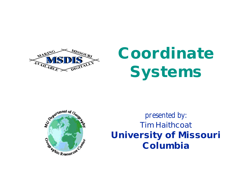

# **Coordinate Systems**



*presented by:* **Tim Haithcoat University of Missouri Columbia**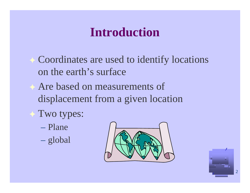#### **Introduction**

- Coordinates are used to identify locations on the earth's surface
- Are based on measurements of displacement from a given location
- Two types:
	- Plane
	- global



2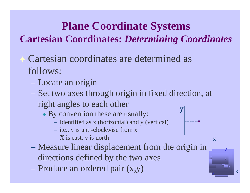#### **Plane Coordinate Systems Cartesian Coordinates:** *Determining Coordinates*

- Cartesian coordinates are determined as follows:
	- Locate an origin
	- Set two axes through origin in fixed direction, at right angles to each other y
		- By convention these are usually:
			- Identified as x (horizontal) and y (vertical)
			- i.e., y is anti-clockwise from x
			- $X$  is east, y is north
	- Measure linear displacement from the origin in directions defined by the two axes

3

x

– Produce an ordered pair (x,y)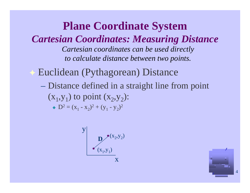**Plane Coordinate System** *Cartesian Coordinates: Measuring Distance Cartesian coordinates can be used directly to calculate distance between two points.*

Euclidean (Pythagorean) Distance

– Distance defined in a straight line from point  $(x_1, y_1)$  to point  $(x_2, y_2)$ :  $D^2 = (x_1 - x_2)^2 + (y_1 - y_2)^2$ 

$$
\begin{array}{c}\n\mathbf{y} \\
\hline\n\mathbf{D} \left( \mathbf{x}_2, \mathbf{y}_2 \right) \\
\hline\n\left( \mathbf{x}_1, \mathbf{y}_1 \right) \\
\hline\n\mathbf{x}\n\end{array}
$$

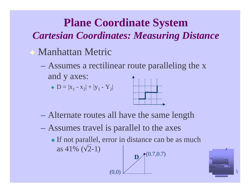#### **Plane Coordinate System**

#### *Cartesian Coordinates: Measuring Distance*

- Manhattan Metric
	- Assumes a rectilinear route paralleling the x and y axes:

• 
$$
D = |x_1 - x_2| + |y_1 - Y_2|
$$



- Alternate routes all have the same length
- Assumes travel is parallel to the axes

(0,0)

• If not parallel, error in distance can be as much as  $41\%$  ( 2-1)

$$
\left.\begin{array}{c}\n\mathbf{D} \\
\hline\n\end{array}\right\}
$$

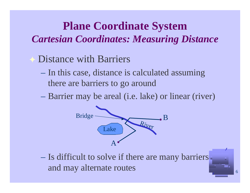#### **Plane Coordinate System** *Cartesian Coordinates: Measuring Distance*

- **Exercise 5 Distance with Barriers** 
	- In this case, distance is calculated assuming there are barriers to go around
	- Barrier may be areal (i.e. lake) or linear (river)



– Is difficult to solve if there are many barriers and may alternate routes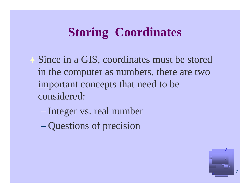### **Storing Coordinates**

◆ Since in a GIS, coordinates must be stored in the computer as numbers, there are two important concepts that need to be considered:

- Integer vs. real number
- Questions of precision

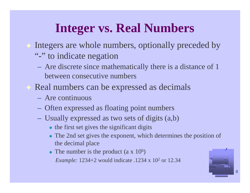### **Integer vs. Real Numbers**

- Integers are whole numbers, optionally preceded by
	- "-" to indicate negation
	- Are discrete since mathematically there is a distance of 1 between consecutive numbers
- Real numbers can be expressed as decimals
	- Are continuous
	- Often expressed as floating point numbers
	- Usually expressed as two sets of digits (a,b)
		- $\bullet$  the first set gives the significant digits
		- The 2nd set gives the exponent, which determines the position of the decimal place
		- The number is the product  $(a \times 10^b)$ *Example:* 1234+2 would indicate .1234 x 10<sup>2</sup> or 12.34

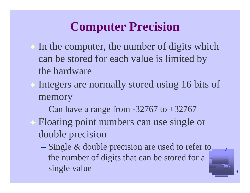# **Computer Precision**

- In the computer, the number of digits which can be stored for each value is limited by the hardware
- Integers are normally stored using 16 bits of memory
	- Can have a range from  $-32767$  to  $+32767$
- **► Floating point numbers can use single or** double precision
	- Single & double precision are used to refer to the number of digits that can be stored for a single value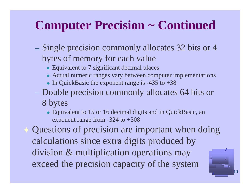## **Computer Precision ~ Continued**

- Single precision commonly allocates 32 bits or 4 bytes of memory for each value
	- ◆ Equivalent to 7 significant decimal places
	- Actual numeric ranges vary between computer implementations
	- $\bullet$  In QuickBasic the exponent range is -435 to +38
- Double precision commonly allocates 64 bits or
	- 8 bytes
		- Equivalent to 15 or 16 decimal digits and in QuickBasic, an exponent range from -324 to +308

Questions of precision are important when doing calculations since extra digits produced by division & multiplication operations may exceed the precision capacity of the system

10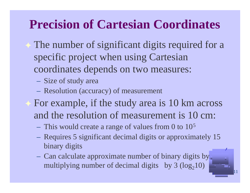### **Precision of Cartesian Coordinates**

- The number of significant digits required for a specific project when using Cartesian coordinates depends on two measures:
	- Size of study area
	- Resolution (accuracy) of measurement
- For example, if the study area is 10 km across and the resolution of measurement is 10 cm:
	- This would create a range of values from 0 to 10<sup>5</sup>
	- Requires 5 significant decimal digits or approximately 15 binary digits

11

– Can calculate approximate number of binary digits by multiplying number of decimal digits by  $3 (log<sub>2</sub>10)$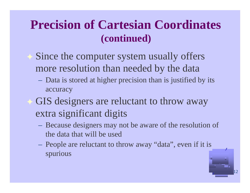#### **Precision of Cartesian Coordinates (continued)**

- Since the computer system usually offers more resolution than needed by the data
	- Data is stored at higher precision than is justified by its accuracy
- GIS designers are reluctant to throw away extra significant digits
	- Because designers may not be aware of the resolution of the data that will be used
	- People are reluctant to throw away "data", even if it is spurious

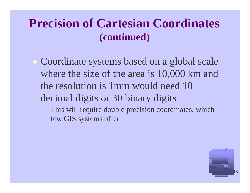#### **Precision of Cartesian Coordinates (continued)**

Coordinate systems based on a global scale where the size of the area is 10,000 km and the resolution is 1mm would need 10 decimal digits or 30 binary digits

– This will require double precision coordinates, which few GIS systems offer

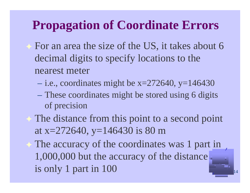#### **Propagation of Coordinate Errors**

- For an area the size of the US, it takes about 6 decimal digits to specify locations to the nearest meter
	- $-$  i.e., coordinates might be x=272640, y=146430
	- These coordinates might be stored using 6 digits of precision
- The distance from this point to a second point at x=272640, y=146430 is 80 m

The accuracy of the coordinates was 1 part in 1,000,000 but the accuracy of the distance is only 1 part in 100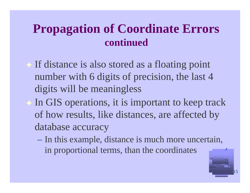#### **Propagation of Coordinate Errors continued**

If distance is also stored as a floating point number with 6 digits of precision, the last 4 digits will be meaningless

- In GIS operations, it is important to keep track of how results, like distances, are affected by database accuracy
	- In this example, distance is much more uncertain, in proportional terms, than the coordinates

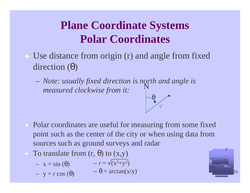#### **Plane Coordinate Systems Polar Coordinates**

- Use distance from origin (r) and angle from fixed direction ( )
	- *Note: usually fixed direction is north and angle is measured clockwise from it:* N

Polar coordinates are useful for measuring from some fixed point such as the center of the city or when using data from sources such as ground surveys and radar

 $\leftarrow$  = arctan(x/y)

- To translate from  $(r, \cdot)$  to  $(x,y)$ 
	- $x = sin( )$  -- r =  $(x^2+y^2)$
	- $y = r cos ( )$

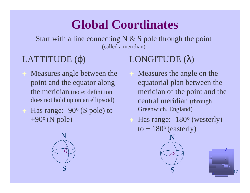### **Global Coordinates**

Start with a line connecting  $N \& S$  pole through the point (called a meridian)

#### LATTITUDE ( )

Measures angle between the point and the equator along the meridian.(note: definition does not hold up on an ellipsoid) Has range:  $-90^\circ$  (S pole) to  $+90^\circ$  (N pole)

#### LONGITUDE ( )

- Measures the angle on the equatorial plan between the meridian of the point and the central meridian (through Greenwich, England)
	- Has range: -180<sup>o</sup> (westerly) to  $+180^\circ$  (easterly)

N

S

17

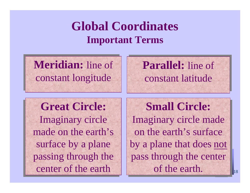#### **Global Coordinates Important Terms**

**Meridian:** line of constant longitude

#### **Parallel:** line of constant latitude

**Great Circle: Great Circle:** Imaginary circle Imaginary circle made on the earth's made on the earth's surface by a plane passing through the passing through the center of the earth center of the earth

**Small Circle: Small Circle:** Imaginary circle made Imaginary circle made on the earth's surface on the earth's surface by a plane that does not pass through the center pass through the center of the earth. of the earth.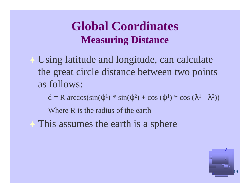#### **Global Coordinates Measuring Distance**

- Using latitude and longitude, can calculate the great circle distance between two points as follows:
	- $-d = R \arccos(\sin(\frac{1}{2} * \sin(\frac{2}{2}) + \cos(\frac{1}{2} * \cos(\frac{1}{2} \frac{2}{2})))$
	- Where R is the radius of the earth
- This assumes the earth is a sphere

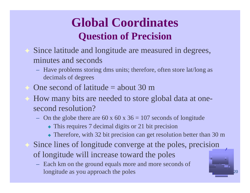### **Global Coordinates Question of Precision**

- Since latitude and longitude are measured in degrees, minutes and seconds
	- Have problems storing dms units; therefore, often store lat/long as decimals of degrees
- One second of latitude  $=$  about 30 m
- How many bits are needed to store global data at onesecond resolution?
	- On the globe there are 60 x 60 x 36 = 107 seconds of longitude
		- This requires 7 decimal digits or 21 bit precision
		- Therefore, with 32 bit precision can get resolution better than 30 m

20

- Since lines of longitude converge at the poles, precision of longitude will increase toward the poles
	- Each km on the ground equals more and more seconds of longitude as you approach the poles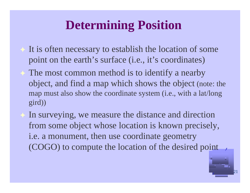### **Determining Position**

- It is often necessary to establish the location of some point on the earth's surface (i.e., it's coordinates)
- The most common method is to identify a nearby object, and find a map which shows the object (note: the map must also show the coordinate system (i.e., with a lat/long gird))
- In surveying, we measure the distance and direction from some object whose location is known precisely, i.e. a monument, then use coordinate geometry (COGO) to compute the location of the desired point